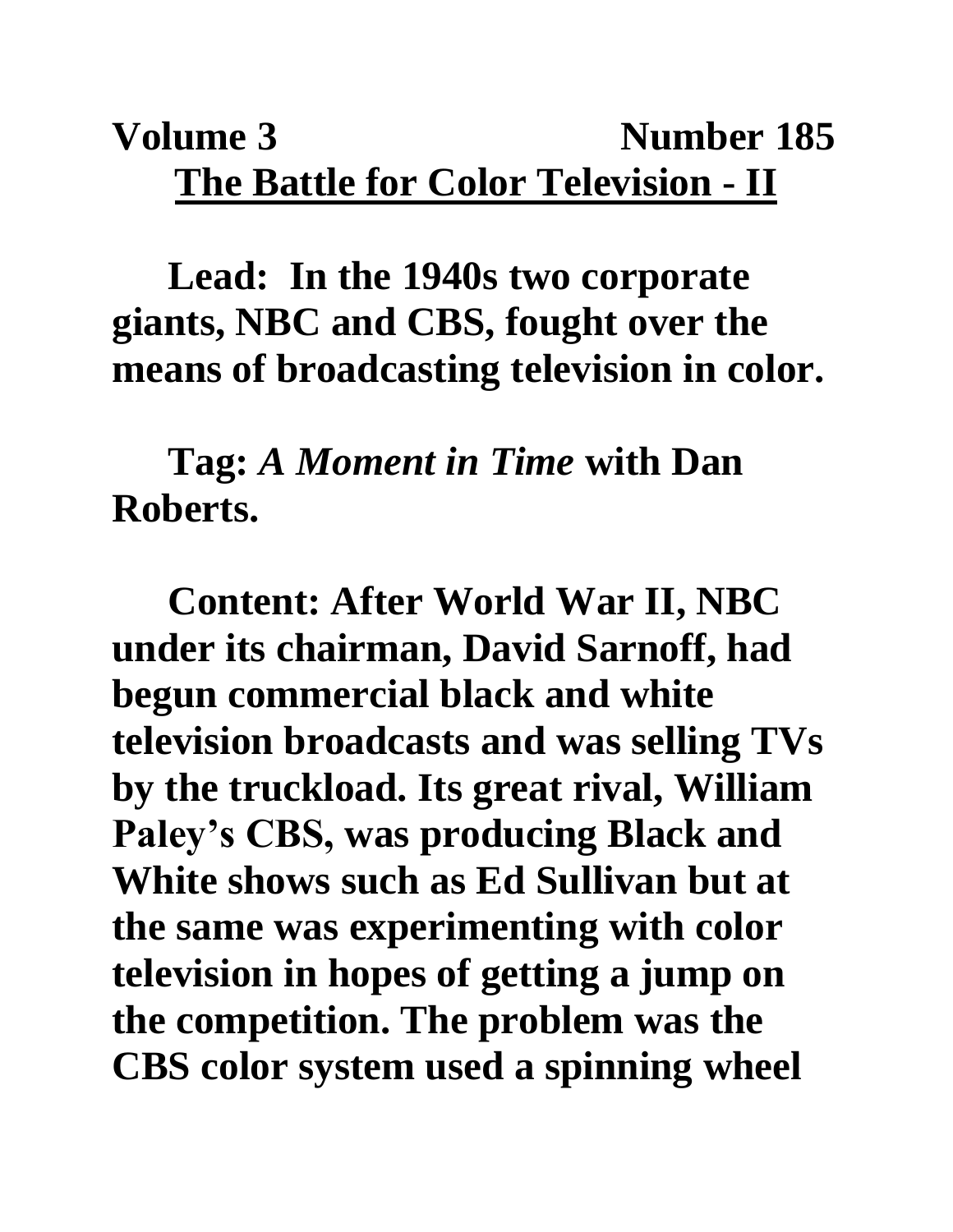## **Volume 3** Number 185 **The Battle for Color Television - II**

**Lead: In the 1940s two corporate giants, NBC and CBS, fought over the means of broadcasting television in color.**

**Tag:** *A Moment in Time* **with Dan Roberts.**

**Content: After World War II, NBC under its chairman, David Sarnoff, had begun commercial black and white television broadcasts and was selling TVs by the truckload. Its great rival, William Paley's CBS, was producing Black and White shows such as Ed Sullivan but at the same was experimenting with color television in hopes of getting a jump on the competition. The problem was the CBS color system used a spinning wheel**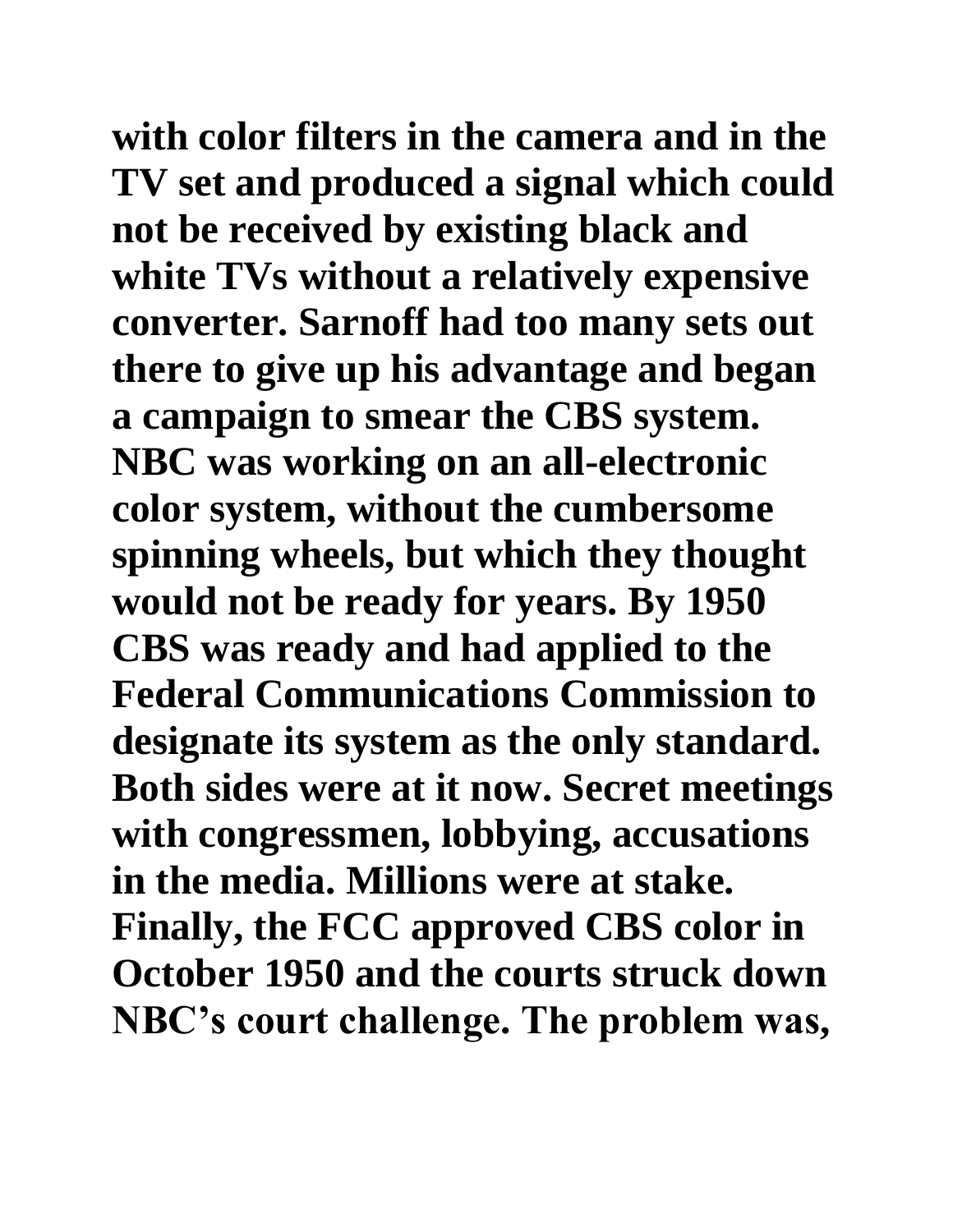**with color filters in the camera and in the TV set and produced a signal which could not be received by existing black and white TVs without a relatively expensive converter. Sarnoff had too many sets out there to give up his advantage and began a campaign to smear the CBS system. NBC was working on an all-electronic color system, without the cumbersome spinning wheels, but which they thought would not be ready for years. By 1950 CBS was ready and had applied to the Federal Communications Commission to designate its system as the only standard. Both sides were at it now. Secret meetings with congressmen, lobbying, accusations in the media. Millions were at stake. Finally, the FCC approved CBS color in October 1950 and the courts struck down NBC's court challenge. The problem was,**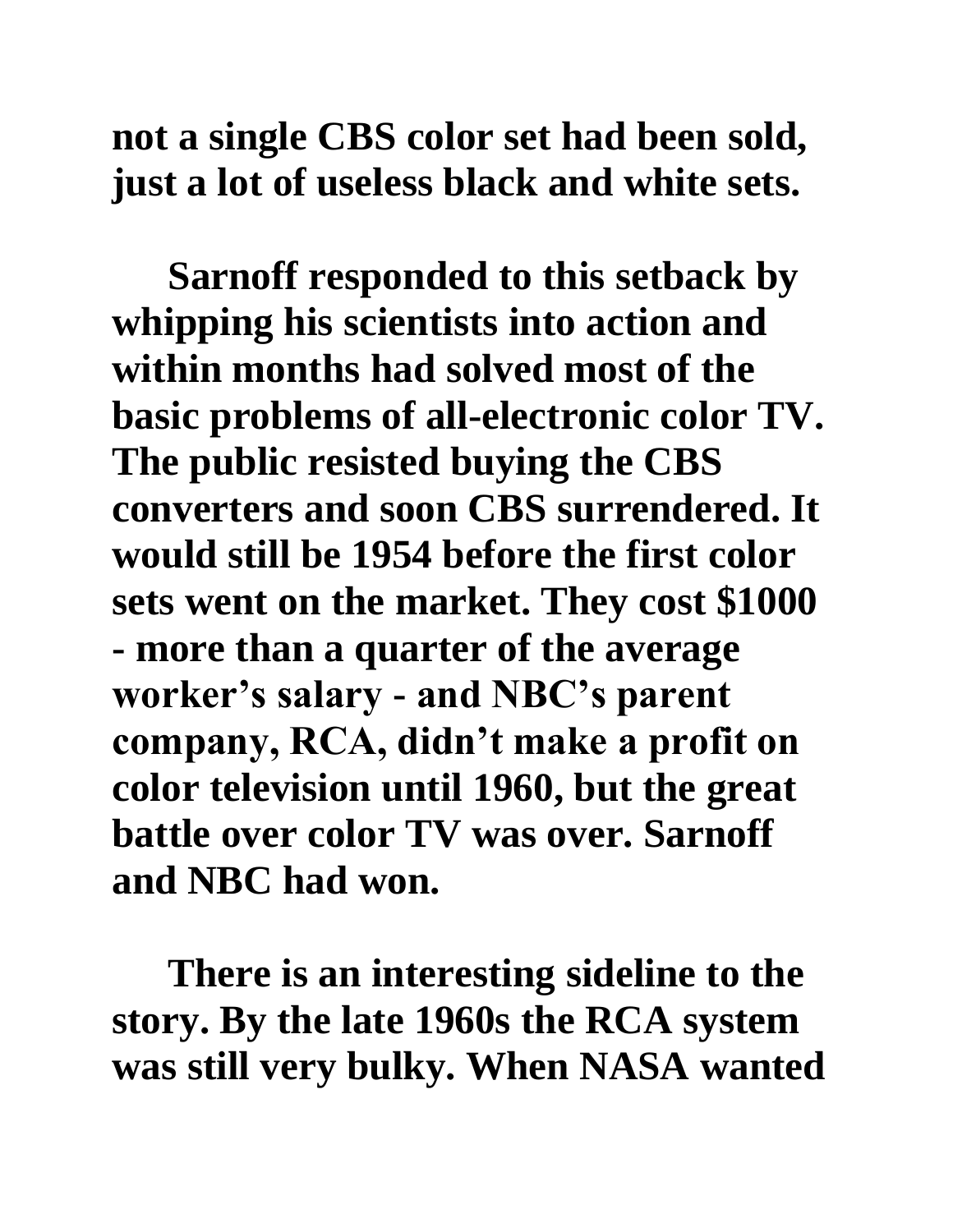**not a single CBS color set had been sold, just a lot of useless black and white sets.** 

**Sarnoff responded to this setback by whipping his scientists into action and within months had solved most of the basic problems of all-electronic color TV. The public resisted buying the CBS converters and soon CBS surrendered. It would still be 1954 before the first color sets went on the market. They cost \$1000 - more than a quarter of the average worker's salary - and NBC's parent company, RCA, didn't make a profit on color television until 1960, but the great battle over color TV was over. Sarnoff and NBC had won.**

**There is an interesting sideline to the story. By the late 1960s the RCA system was still very bulky. When NASA wanted**